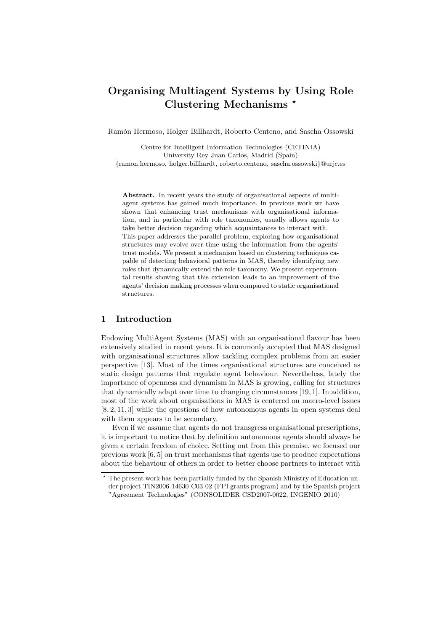# **Organising Multiagent Systems by Using Role Clustering Mechanisms**

Ramón Hermoso, Holger Billhardt, Roberto Centeno, and Sascha Ossowski

Centre for Intelligent Information Technologies (CETINIA) University Rey Juan Carlos, Madrid (Spain) *{*ramon.hermoso, holger.billhardt, roberto.centeno, sascha.ossowski*}*@urjc.es

**Abstract.** In recent years the study of organisational aspects of multiagent systems has gained much importance. In previous work we have shown that enhancing trust mechanisms with organisational information, and in particular with role taxonomies, usually allows agents to take better decision regarding which acquaintances to interact with. This paper addresses the parallel problem, exploring how organisational structures may evolve over time using the information from the agents' trust models. We present a mechanism based on clustering techniques capable of detecting behavioral patterns in MAS, thereby identifying new roles that dynamically extend the role taxonomy. We present experimental results showing that this extension leads to an improvement of the agents' decision making processes when compared to static organisational structures.

## **1 Introduction**

Endowing MultiAgent Systems (MAS) with an organisational flavour has been extensively studied in recent years. It is commonly accepted that MAS designed with organisational structures allow tackling complex problems from an easier perspective [13]. Most of the times organisational structures are conceived as static design patterns that regulate agent behaviour. Nevertheless, lately the importance of openness and dynamism in MAS is growing, calling for structures that dynamically adapt over time to changing circumstances [19, 1]. In addition, most of the work about organisations in MAS is centered on macro-level issues [8, 2, 11, 3] while the questions of how autonomous agents in open systems deal with them appears to be secondary.

Even if we assume that agents do not transgress organisational prescriptions, it is important to notice that by definition autonomous agents should always be given a certain freedom of choice. Setting out from this premise, we focused our previous work [6, 5] on trust mechanisms that agents use to produce expectations about the behaviour of others in order to better choose partners to interact with

 $*$  The present work has been partially funded by the Spanish Ministry of Education under project TIN2006-14630-C03-02 (FPI grants program) and by the Spanish project "Agreement Technologies" (CONSOLIDER CSD2007-0022, INGENIO 2010)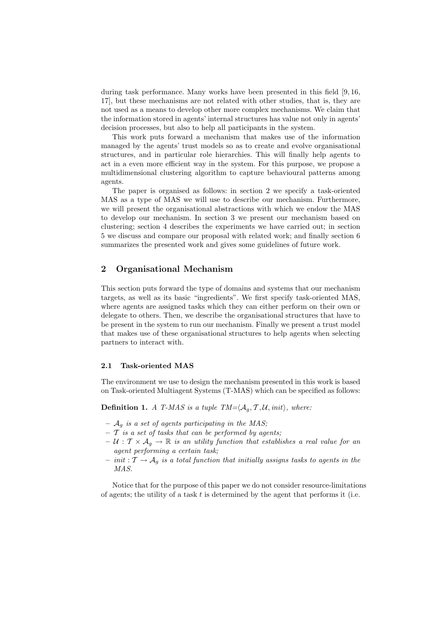during task performance. Many works have been presented in this field [9, 16, 17], but these mechanisms are not related with other studies, that is, they are not used as a means to develop other more complex mechanisms. We claim that the information stored in agents' internal structures has value not only in agents' decision processes, but also to help all participants in the system.

This work puts forward a mechanism that makes use of the information managed by the agents' trust models so as to create and evolve organisational structures, and in particular role hierarchies. This will finally help agents to act in a even more efficient way in the system. For this purpose, we propose a multidimensional clustering algorithm to capture behavioural patterns among agents.

The paper is organised as follows: in section 2 we specify a task-oriented MAS as a type of MAS we will use to describe our mechanism. Furthermore, we will present the organisational abstractions with which we endow the MAS to develop our mechanism. In section 3 we present our mechanism based on clustering; section 4 describes the experiments we have carried out; in section 5 we discuss and compare our proposal with related work; and finally section 6 summarizes the presented work and gives some guidelines of future work.

## **2 Organisational Mechanism**

This section puts forward the type of domains and systems that our mechanism targets, as well as its basic "ingredients". We first specify task-oriented MAS, where agents are assigned tasks which they can either perform on their own or delegate to others. Then, we describe the organisational structures that have to be present in the system to run our mechanism. Finally we present a trust model that makes use of these organisational structures to help agents when selecting partners to interact with.

#### **2.1 Task-oriented MAS**

The environment we use to design the mechanism presented in this work is based on Task-oriented Multiagent Systems (T-MAS) which can be specified as follows:

**Definition 1.** *A T-MAS is a tuple TM=* $\langle A_g, T, U, init \rangle$ , where:

- 
- **–** <sup>A</sup>g *is a set of agents participating in the MAS;* **–** T *is a set of tasks that can be performed by agents;*
- $U : \mathcal{T} \times \mathcal{A}_g \to \mathbb{R}$  *is an utility function that establishes a real value for an agent performing a certain task;*
- **–** *init* : T →Ag *is a total function that initially assigns tasks to agents in the MAS.*

Notice that for the purpose of this paper we do not consider resource-limitations of agents; the utility of a task  $t$  is determined by the agent that performs it (i.e.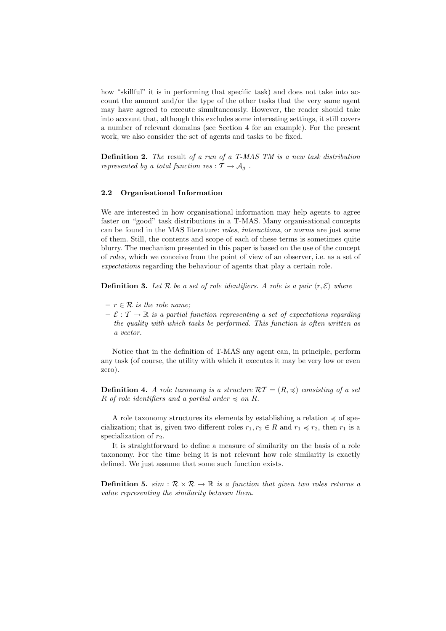how "skillful" it is in performing that specific task) and does not take into account the amount and/or the type of the other tasks that the very same agent may have agreed to execute simultaneously. However, the reader should take into account that, although this excludes some interesting settings, it still covers a number of relevant domains (see Section 4 for an example). For the present work, we also consider the set of agents and tasks to be fixed.

**Definition 2.** *The* result *of a run of a T-MAS TM is a new task distribution represented by a total function res* :  $\mathcal{T} \rightarrow \mathcal{A}_q$ .

#### **2.2 Organisational Information**

We are interested in how organisational information may help agents to agree faster on "good" task distributions in a T-MAS. Many organisational concepts can be found in the MAS literature: *roles*, *interactions*, or *norms* are just some of them. Still, the contents and scope of each of these terms is sometimes quite blurry. The mechanism presented in this paper is based on the use of the concept of *roles*, which we conceive from the point of view of an observer, i.e. as a set of *expectations* regarding the behaviour of agents that play a certain role.

**Definition 3.** Let  $\mathcal{R}$  be a set of role identifiers. A role is a pair  $\langle r, \mathcal{E} \rangle$  where

- $r \in \mathcal{R}$  *is the role name;*
- $-\mathcal{E}: \mathcal{T} \to \mathbb{R}$  *is a partial function representing a set of expectations regarding the quality with which tasks be performed. This function is often written as a vector.*

Notice that in the definition of T-MAS any agent can, in principle, perform any task (of course, the utility with which it executes it may be very low or even zero).

**Definition 4.** *A role taxonomy is a structure*  $\mathcal{RT} = (R, \preccurlyeq)$  *consisting of a set* R *of role identifiers and a partial order*  $\leq$  *on* R.

A role taxonomy structures its elements by establishing a relation  $\preccurlyeq$  of specialization; that is, given two different roles  $r_1, r_2 \in R$  and  $r_1 \preccurlyeq r_2$ , then  $r_1$  is a specialization of  $r_2$ .

It is straightforward to define a measure of similarity on the basis of a role taxonomy. For the time being it is not relevant how role similarity is exactly defined. We just assume that some such function exists.

**Definition 5.**  $sim : \mathcal{R} \times \mathcal{R} \rightarrow \mathbb{R}$  *is a function that given two roles returns a value representing the similarity between them.*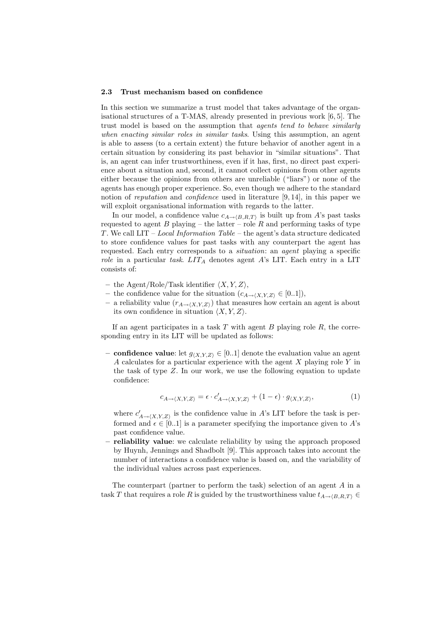#### **2.3 Trust mechanism based on confidence**

In this section we summarize a trust model that takes advantage of the organisational structures of a T-MAS, already presented in previous work [6, 5]. The trust model is based on the assumption that *agents tend to behave similarly when enacting similar roles in similar tasks*. Using this assumption, an agent is able to assess (to a certain extent) the future behavior of another agent in a certain situation by considering its past behavior in "similar situations". That is, an agent can infer trustworthiness, even if it has, first, no direct past experience about a situation and, second, it cannot collect opinions from other agents either because the opinions from others are unreliable ("liars") or none of the agents has enough proper experience. So, even though we adhere to the standard notion of *reputation* and *confidence* used in literature [9, 14], in this paper we will exploit organisational information with regards to the latter.

In our model, a confidence value  $c_{A\to\langle B,R,T\rangle}$  is built up from A's past tasks used to agent B playing – the latter – role B and performing tasks of type requested to agent B playing – the latter – role R and performing tasks of type T . We call LIT – *Local Information Table* – the agent's data structure dedicated to store confidence values for past tasks with any counterpart the agent has requested. Each entry corresponds to a *situation*: an *agent* playing a specific *role* in a particular *task.*  $LIT_A$  denotes agent A's LIT. Each entry in a LIT consists of:

- $-$  the Agent/Role/Task identifier  $\langle X, Y, Z \rangle$ ,<br>  $-$  the confidence value for the situation  $(c, \cdot)$
- the confidence value for the situation  $(c_{A\rightarrow \langle X,Y,Z \rangle} \in [0..1]),$ <br>  $\Rightarrow$  reliability value  $(r_{\langle X,Y,Z \rangle})$  that measures how certain
- $-$  a reliability value  $(r_{A\rightarrow (X,Y,Z)})$  that measures how certain an agent is about its own confidence in situation  $\langle Y, Y, Z \rangle$ its own confidence in situation  $\langle X, Y, Z \rangle$ .

If an agent participates in a task  $T$  with agent  $B$  playing role  $R$ , the corresponding entry in its LIT will be updated as follows:

**− confidence value**: let  $g_{(X,Y,Z)} \in [0,1]$  denote the evaluation value an agent  $A$  calculates for a particular experience with the agent  $X$  playing role  $Y$  in A calculates for a particular experience with the agent  $X$  playing role  $Y$  in the task of type Z. In our work, we use the following equation to update confidence:

$$
c_{A \to \langle X, Y, Z \rangle} = \epsilon \cdot c'_{A \to \langle X, Y, Z \rangle} + (1 - \epsilon) \cdot g_{\langle X, Y, Z \rangle},\tag{1}
$$

where  $c'_{A\to\langle X,Y,Z\rangle}$  is the confidence value in A's LIT before the task is per-<br>formed and  $c \in [0, 1]$  is a parameter aposition the importance given to A's formed and  $\epsilon \in [0..1]$  is a parameter specifying the importance given to A's<br>past confidence value past confidence value.

**– reliability value**: we calculate reliability by using the approach proposed by Huynh, Jennings and Shadbolt [9]. This approach takes into account the number of interactions a confidence value is based on, and the variability of the individual values across past experiences.

The counterpart (partner to perform the task) selection of an agent A in a task T that requires a role R is guided by the trustworthiness value  $t_{A\to \langle B,R,T\rangle} \in$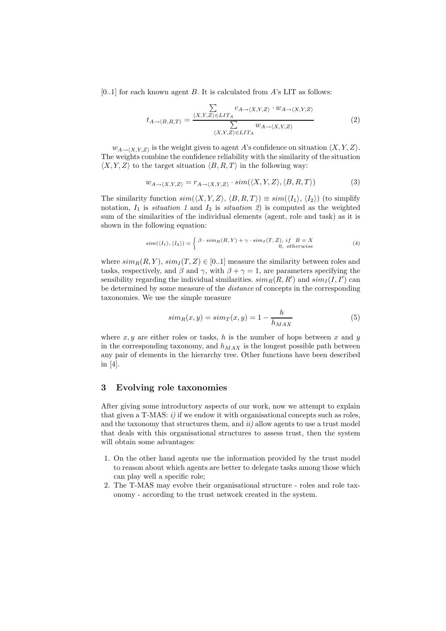$[0..1]$  for each known agent B. It is calculated from A's LIT as follows:

$$
t_{A \to \langle B,R,T \rangle} = \frac{\sum\limits_{\langle X,Y,Z \rangle \in LIT_A} c_{A \to \langle X,Y,Z \rangle} \cdot w_{A \to \langle X,Y,Z \rangle}}{\sum\limits_{\langle X,Y,Z \rangle \in LIT_A} w_{A \to \langle X,Y,Z \rangle}} \tag{2}
$$

The weights combine the confidence reliability with the similarity of the situation  $\langle A, A, B \rangle$ .  $X,Y,Z$  is the weight given to agent A's confidence on situation  $\langle X, Y, Z \rangle$ .<br>hts combine the confidence reliability with the similarity of the situation  $\langle X, Y, Z \rangle$  to the target situation  $\langle B, R, T \rangle$  in the following way:

$$
w_{A \to \langle X, Y, Z \rangle} = r_{A \to \langle X, Y, Z \rangle} \cdot sim(\langle X, Y, Z \rangle, \langle B, R, T \rangle)
$$
(3)

The similarity function  $sim(\langle X, Y, Z \rangle, \langle B, R, T \rangle) \equiv sim(\langle I_1 \rangle, \langle I_2 \rangle)$  (to simplify<br>notation L is *situation* 1 and L is *situation* 2) is computed as the weighted notation,  $I_1$  is *situation 1* and  $I_2$  is *situation 2*) is computed as the weighted sum of the similarities of the individual elements (agent, role and task) as it is shown in the following equation:

$$
sim(\langle I_1 \rangle, \langle I_2 \rangle) = \begin{cases} \beta \cdot sim_R(R, Y) + \gamma \cdot sim_I(T, Z), & if \ B = X \\ 0, & otherwise \end{cases}
$$
 (4)

where  $sim_R(R, Y)$ ,  $sim_I(T, Z) \in [0..1]$  measure the similarity between roles and tasks, respectively, and  $\beta$  and  $\gamma$ , with  $\beta + \gamma = 1$ , are parameters specifying the sensibility regarding the individual similarities.  $sim_R(R, R')$  and  $sim_I(I, I')$  can<br>be determined by some measure of the *distance* of concepts in the corresponding be determined by some measure of the *distance* of concepts in the corresponding taxonomies. We use the simple measure

$$
sim_R(x,y) = sim_T(x,y) = 1 - \frac{h}{h_{MAX}} \tag{5}
$$

where  $x, y$  are either roles or tasks, h is the number of hops between x and y in the corresponding taxonomy, and  $h_{MAX}$  is the longest possible path between any pair of elements in the hierarchy tree. Other functions have been described in [4].

## **3 Evolving role taxonomies**

After giving some introductory aspects of our work, now we attempt to explain that given a T-MAS:  $i$ ) if we endow it with organisational concepts such as roles, and the taxonomy that structures them, and *ii)* allow agents to use a trust model that deals with this organisational structures to assess trust, then the system will obtain some advantages:

- 1. On the other hand agents use the information provided by the trust model to reason about which agents are better to delegate tasks among those which can play well a specific role;
- 2. The T-MAS may evolve their organisational structure roles and role taxonomy - according to the trust network created in the system.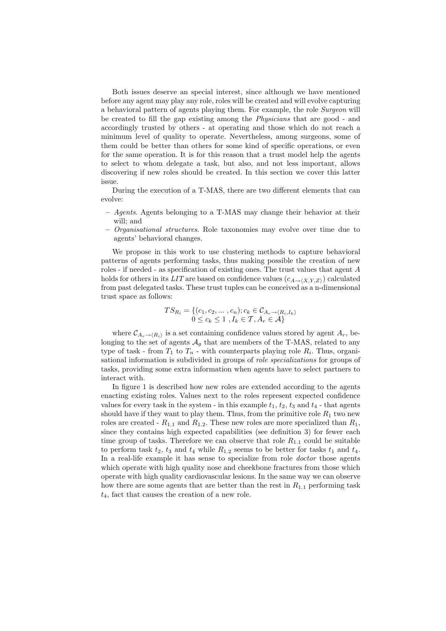Both issues deserve an special interest, since although we have mentioned before any agent may play any role, roles will be created and will evolve capturing a behavioral pattern of agents playing them. For example, the role *Surgeon* will be created to fill the gap existing among the *Physicians* that are good - and accordingly trusted by others - at operating and those which do not reach a minimum level of quality to operate. Nevertheless, among surgeons, some of them could be better than others for some kind of specific operations, or even for the same operation. It is for this reason that a trust model help the agents to select to whom delegate a task, but also, and not less important, allows discovering if new roles should be created. In this section we cover this latter issue.

During the execution of a T-MAS, there are two different elements that can evolve:

- **–** *Agents*. Agents belonging to a T-MAS may change their behavior at their will; and
- **–** *Organisational structures*. Role taxonomies may evolve over time due to agents' behavioral changes.

We propose in this work to use clustering methods to capture behavioral patterns of agents performing tasks, thus making possible the creation of new roles - if needed - as specification of existing ones. The trust values that agent A holds for others in its *LIT* are based on confidence values  $(c_{A\rightarrow \langle X,Y,Z\rangle})$  calculated<br>from past delegated tasks. These trust tuples can be conceived as a n-dimensional from past delegated tasks. These trust tuples can be conceived as a n-dimensional trust space as follows:

$$
TS_{R_i} = \{(c_1, c_2, \dots, c_n); c_k \in C_{A_r \to \langle R_i, I_k \rangle} 0 \le c_k \le 1, I_k \in \mathcal{T}, A_r \in \mathcal{A}\}
$$

where  $\mathcal{C}_{A_r \to \langle R_i \rangle}$  is a set containing confidence values stored by agent  $A_r$ , be-<br>*ring to the set of ggents*  $A$ , that are members of the T-MAS, related to any longing to the set of agents  $A_q$  that are members of the T-MAS, related to any type of task - from  $T_1$  to  $T_n$  - with counterparts playing role  $R_i$ . Thus, organisational information is subdivided in groups of *role specializations* for groups of tasks, providing some extra information when agents have to select partners to interact with.

In figure 1 is described how new roles are extended according to the agents enacting existing roles. Values next to the roles represent expected confidence values for every task in the system - in this example  $t_1$ ,  $t_2$ ,  $t_3$  and  $t_4$  - that agents should have if they want to play them. Thus, from the primitive role  $R_1$  two new roles are created -  $R_{1,1}$  and  $R_{1,2}$ . These new roles are more specialized than  $R_1$ , since they contains high expected capabilities (see definition 3) for fewer each time group of tasks. Therefore we can observe that role  $R_{1,1}$  could be suitable to perform task  $t_2$ ,  $t_3$  and  $t_4$  while  $R_{1,2}$  seems to be better for tasks  $t_1$  and  $t_4$ . In a real-life example it has sense to specialize from role *doctor* those agents which operate with high quality nose and cheekbone fractures from those which operate with high quality cardiovascular lesions. In the same way we can observe how there are some agents that are better than the rest in  $R_{1,1}$  performing task  $t_4$ , fact that causes the creation of a new role.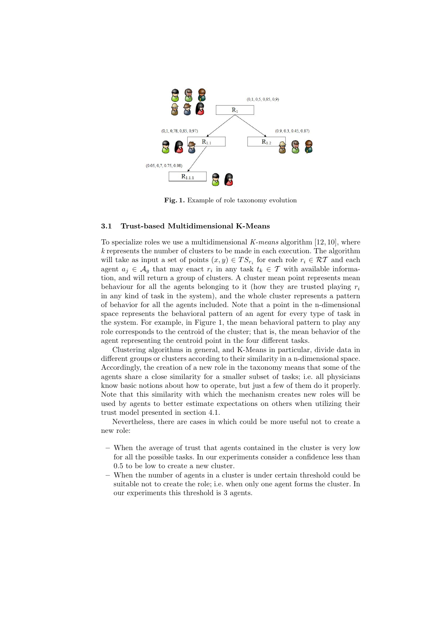

**Fig. 1.** Example of role taxonomy evolution

## **3.1 Trust-based Multidimensional K-Means**

To specialize roles we use a multidimensional *K-means* algorithm [12, 10], where *k* represents the number of clusters to be made in each execution. The algorithm will take as input a set of points  $(x, y) \in TS_{r_i}$  for each role  $r_i \in RT$  and each agent  $a_j \in \mathcal{A}_g$  that may enact  $r_i$  in any task  $t_k \in \mathcal{T}$  with available information, and will return a group of clusters. A cluster mean point represents mean behaviour for all the agents belonging to it (how they are trusted playing  $r_i$ in any kind of task in the system), and the whole cluster represents a pattern of behavior for all the agents included. Note that a point in the n-dimensional space represents the behavioral pattern of an agent for every type of task in the system. For example, in Figure 1, the mean behavioral pattern to play any role corresponds to the centroid of the cluster; that is, the mean behavior of the agent representing the centroid point in the four different tasks.

Clustering algorithms in general, and K-Means in particular, divide data in different groups or clusters according to their similarity in a n-dimensional space. Accordingly, the creation of a new role in the taxonomy means that some of the agents share a close similarity for a smaller subset of tasks; i.e. all physicians know basic notions about how to operate, but just a few of them do it properly. Note that this similarity with which the mechanism creates new roles will be used by agents to better estimate expectations on others when utilizing their trust model presented in section 4.1.

Nevertheless, there are cases in which could be more useful not to create a new role:

- **–** When the average of trust that agents contained in the cluster is very low for all the possible tasks. In our experiments consider a confidence less than 0.5 to be low to create a new cluster.
- **–** When the number of agents in a cluster is under certain threshold could be suitable not to create the role; i.e. when only one agent forms the cluster. In our experiments this threshold is 3 agents.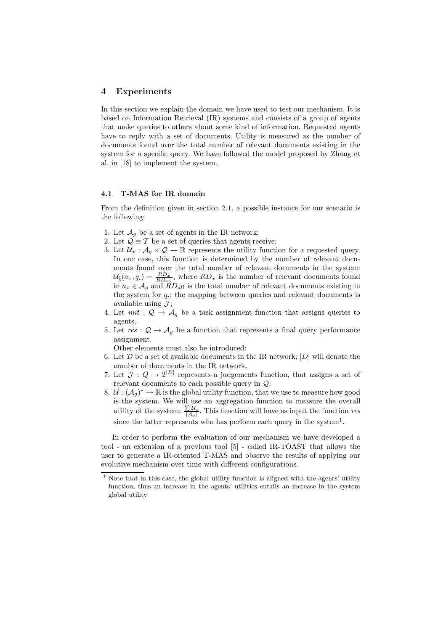#### **4 Experiments**

In this section we explain the domain we have used to test our mechanism. It is based on Information Retrieval (IR) systems and consists of a group of agents that make queries to others about some kind of information. Requested agents have to reply with a set of documents. Utility is measured as the number of documents found over the total number of relevant documents existing in the system for a specific query. We have followed the model proposed by Zhang et al. in [18] to implement the system.

## **4.1 T-MAS for IR domain**

From the definition given in section 2.1, a possible instance for our scenario is the following:

- 1. Let  $\mathcal{A}_q$  be a set of agents in the IR network;
- 2. Let  $\mathcal{Q} \equiv \mathcal{T}$  be a set of queries that agents receive;
- 3. Let  $\mathcal{U}_x : \mathcal{A}_q \times \mathcal{Q} \to \mathbb{R}$  represents the utility function for a requested query. In our case, this function is determined by the number of relevant documents found over the total number of relevant documents in the system:  $U_{\S}(a_x, q_i) = \frac{R D_x}{R D_{all}}$ , where  $R D_x$  is the number of relevant documents found<br>in  $a \in A$  and RD u is the total number of relevant documents existing in in  $a_x \in A_g$  and  $\ddot{R}D_{all}$  is the total number of relevant documents existing in the system for  $q_i$ ; the mapping between queries and relevant documents is available using  $\mathcal{J}$ ;
- 4. Let *init* :  $Q \rightarrow A_q$  be a task assignment function that assigns queries to agents.
- 5. Let  $res : \mathcal{Q} \to \mathcal{A}_g$  be a function that represents a final query performance assignment.

Other elements must also be introduced:

- 6. Let  $D$  be a set of available documents in the IR network;  $|D|$  will denote the number of documents in the IR network.
- 7. Let  $\mathcal{J}: Q \to 2^{|D|}$  represents a judgements function, that assigns a set of relevant documents to each possible query in  $Q$ ;
- 8.  $U : (A_q)^* \to \mathbb{R}$  is the global utility function, that we use to measure how good is the system. We will use an aggregation function to measure the overall utility of the system:  $\frac{\sum \mathcal{U}_x}{|\mathcal{A}_g|}$ . This function will have as input the function *res* since the latter represents who has perform each query in the system<sup>1</sup>.

In order to perform the evaluation of our mechanism we have developed a tool - an extension of a previous tool [5] - called IR-TOAST that allows the user to generate a IR-oriented T-MAS and observe the results of applying our evolutive mechanism over time with different configurations.

 $1$  Note that in this case, the global utility function is aligned with the agents' utility function, thus an increase in the agents' utilities entails an increase in the system global utility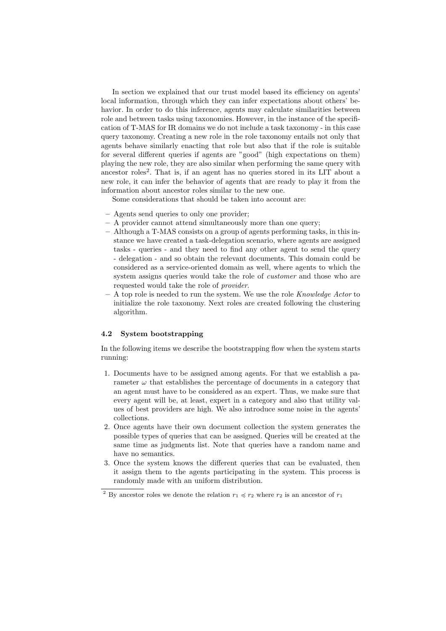In section we explained that our trust model based its efficiency on agents' local information, through which they can infer expectations about others' behavior. In order to do this inference, agents may calculate similarities between role and between tasks using taxonomies. However, in the instance of the specification of T-MAS for IR domains we do not include a task taxonomy - in this case query taxonomy. Creating a new role in the role taxonomy entails not only that agents behave similarly enacting that role but also that if the role is suitable for several different queries if agents are "good" (high expectations on them) playing the new role, they are also similar when performing the same query with ancestor roles2. That is, if an agent has no queries stored in its LIT about a new role, it can infer the behavior of agents that are ready to play it from the information about ancestor roles similar to the new one.

Some considerations that should be taken into account are:

- **–** Agents send queries to only one provider;
- **–** A provider cannot attend simultaneously more than one query;
- **–** Although a T-MAS consists on a group of agents performing tasks, in this instance we have created a task-delegation scenario, where agents are assigned tasks - queries - and they need to find any other agent to send the query - delegation - and so obtain the relevant documents. This domain could be considered as a service-oriented domain as well, where agents to which the system assigns queries would take the role of *customer* and those who are requested would take the role of *provider*.
- **–** A top role is needed to run the system. We use the role *Knowledge Actor* to initialize the role taxonomy. Next roles are created following the clustering algorithm.

## **4.2 System bootstrapping**

In the following items we describe the bootstrapping flow when the system starts running:

- 1. Documents have to be assigned among agents. For that we establish a parameter  $\omega$  that establishes the percentage of documents in a category that an agent must have to be considered as an expert. Thus, we make sure that every agent will be, at least, expert in a category and also that utility values of best providers are high. We also introduce some noise in the agents' collections.
- 2. Once agents have their own document collection the system generates the possible types of queries that can be assigned. Queries will be created at the same time as judgments list. Note that queries have a random name and have no semantics.
- 3. Once the system knows the different queries that can be evaluated, then it assign them to the agents participating in the system. This process is randomly made with an uniform distribution.

<sup>&</sup>lt;sup>2</sup> By ancestor roles we denote the relation  $r_1 \preccurlyeq r_2$  where  $r_2$  is an ancestor of  $r_1$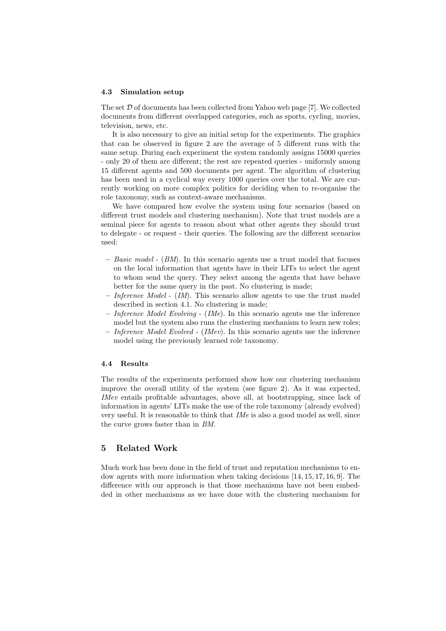#### **4.3 Simulation setup**

The set  $D$  of documents has been collected from Yahoo web page [7]. We collected documents from different overlapped categories, such as sports, cycling, movies, television, news, etc.

It is also necessary to give an initial setup for the experiments. The graphics that can be observed in figure 2 are the average of 5 different runs with the same setup. During each experiment the system randomly assigns 15000 queries - only 20 of them are different; the rest are repeated queries - uniformly among 15 different agents and 500 documents per agent. The algorithm of clustering has been used in a cyclical way every 1000 queries over the total. We are currently working on more complex politics for deciding when to re-organise the role taxonomy, such as context-aware mechanisms.

We have compared how evolve the system using four scenarios (based on different trust models and clustering mechanism). Note that trust models are a seminal piece for agents to reason about what other agents they should trust to delegate - or request - their queries. The following are the different scenarios used:

- **–** *Basic model* (*BM*). In this scenario agents use a trust model that focuses on the local information that agents have in their LITs to select the agent to whom send the query. They select among the agents that have behave better for the same query in the past. No clustering is made;
- **–** *Inference Model* (*IM*). This scenario allow agents to use the trust model described in section 4.1. No clustering is made;
- **–** *Inference Model Evolving* (*IMe*). In this scenario agents use the inference model but the system also runs the clustering mechanism to learn new roles;
- **–** *Inference Model Evolved* (*IMev*). In this scenario agents use the inference model using the previously learned role taxonomy.

## **4.4 Results**

The results of the experiments performed show how our clustering mechanism improve the overall utility of the system (see figure 2). As it was expected, *IMev* entails profitable advantages, above all, at bootstrapping, since lack of information in agents' LITs make the use of the role taxonomy (already evolved) very useful. It is reasonable to think that *IMe* is also a good model as well, since the curve grows faster than in *BM*.

## **5 Related Work**

Much work has been done in the field of trust and reputation mechanisms to endow agents with more information when taking decisions [14, 15, 17, 16, 9]. The difference with our approach is that those mechanisms have not been embedded in other mechanisms as we have done with the clustering mechanism for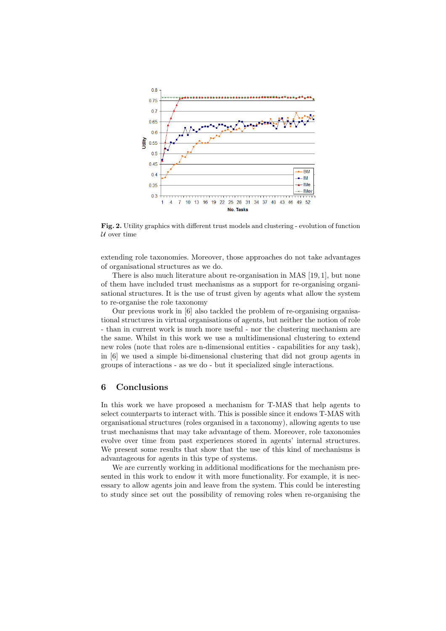

**Fig. 2.** Utility graphics with different trust models and clustering - evolution of function *U* over time

extending role taxonomies. Moreover, those approaches do not take advantages of organisational structures as we do.

There is also much literature about re-organisation in MAS [19, 1], but none of them have included trust mechanisms as a support for re-organising organisational structures. It is the use of trust given by agents what allow the system to re-organise the role taxonomy

Our previous work in [6] also tackled the problem of re-organising organisational structures in virtual organisations of agents, but neither the notion of role - than in current work is much more useful - nor the clustering mechanism are the same. Whilst in this work we use a multidimensional clustering to extend new roles (note that roles are n-dimensional entities - capabilities for any task), in [6] we used a simple bi-dimensional clustering that did not group agents in groups of interactions - as we do - but it specialized single interactions.

## **6 Conclusions**

In this work we have proposed a mechanism for T-MAS that help agents to select counterparts to interact with. This is possible since it endows T-MAS with organisational structures (roles organised in a taxonomy), allowing agents to use trust mechanisms that may take advantage of them. Moreover, role taxonomies evolve over time from past experiences stored in agents' internal structures. We present some results that show that the use of this kind of mechanisms is advantageous for agents in this type of systems.

We are currently working in additional modifications for the mechanism presented in this work to endow it with more functionality. For example, it is necessary to allow agents join and leave from the system. This could be interesting to study since set out the possibility of removing roles when re-organising the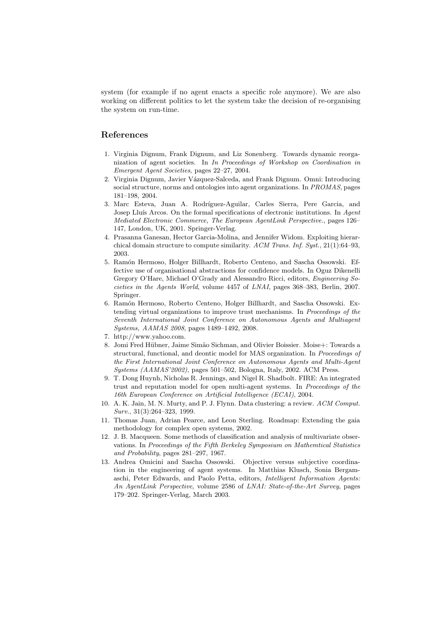system (for example if no agent enacts a specific role anymore). We are also working on different politics to let the system take the decision of re-organising the system on run-time.

# **References**

- 1. Virginia Dignum, Frank Dignum, and Liz Sonenberg. Towards dynamic reorganization of agent societies. In *In Proceedings of Workshop on Coordination in Emergent Agent Societies*, pages 22–27, 2004.
- 2. Virginia Dignum, Javier Vázquez-Salceda, and Frank Dignum. Omni: Introducing social structure, norms and ontologies into agent organizations. In *PROMAS*, pages 181–198, 2004.
- 3. Marc Esteva, Juan A. Rodríguez-Aguilar, Carles Sierra, Pere Garcia, and Josep Lluís Arcos. On the formal specifications of electronic institutions. In *Agent Mediated Electronic Commerce, The European AgentLink Perspective.*, pages 126– 147, London, UK, 2001. Springer-Verlag.
- 4. Prasanna Ganesan, Hector Garcia-Molina, and Jennifer Widom. Exploiting hierarchical domain structure to compute similarity. *ACM Trans. Inf. Syst.*, 21(1):64–93, 2003.
- 5. Ram´on Hermoso, Holger Billhardt, Roberto Centeno, and Sascha Ossowski. Effective use of organisational abstractions for confidence models. In Oguz Dikenelli Gregory O'Hare, Michael O'Grady and Alessandro Ricci, editors, *Engineering Societies in the Agents World*, volume 4457 of *LNAI*, pages 368–383, Berlin, 2007. Springer.
- 6. Ram´on Hermoso, Roberto Centeno, Holger Billhardt, and Sascha Ossowski. Extending virtual organizations to improve trust mechanisms. In *Proceedings of the Seventh International Joint Conference on Autonomous Agents and Multiagent Systems, AAMAS 2008*, pages 1489–1492, 2008.
- 7. http://www.yahoo.com.
- 8. Jomi Fred Hübner, Jaime Simão Sichman, and Olivier Boissier. Moise+: Towards a structural, functional, and deontic model for MAS organization. In *Proceedings of the First International Joint Conference on Autonomous Agents and Multi-Agent Systems (AAMAS'2002)*, pages 501–502, Bologna, Italy, 2002. ACM Press.
- 9. T. Dong Huynh, Nicholas R. Jennings, and Nigel R. Shadbolt. FIRE: An integrated trust and reputation model for open multi-agent systems. In *Proceedings of the 16th European Conference on Artificial Intelligence (ECAI)*, 2004.
- 10. A. K. Jain, M. N. Murty, and P. J. Flynn. Data clustering: a review. *ACM Comput. Surv.*, 31(3):264–323, 1999.
- 11. Thomas Juan, Adrian Pearce, and Leon Sterling. Roadmap: Extending the gaia methodology for complex open systems, 2002.
- 12. J. B. Macqueen. Some methods of classification and analysis of multivariate observations. In *Proceedings of the Fifth Berkeley Symposium on Mathemtical Statistics and Probability*, pages 281–297, 1967.
- 13. Andrea Omicini and Sascha Ossowski. Objective versus subjective coordination in the engineering of agent systems. In Matthias Klusch, Sonia Bergamaschi, Peter Edwards, and Paolo Petta, editors, *Intelligent Information Agents: An AgentLink Perspective*, volume 2586 of *LNAI: State-of-the-Art Survey*, pages 179–202. Springer-Verlag, March 2003.